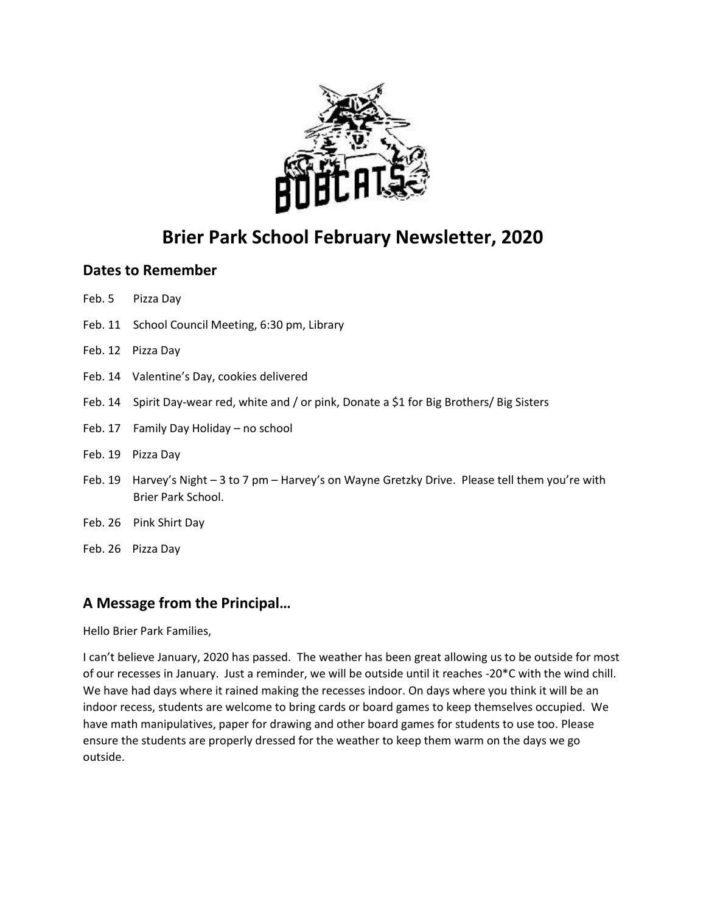

## **Brier Park School February Newsletter, 2020**

## **Dates to Remember**

- Feb. 5 Pizza Day
- Feb. 11 School Council Meeting, 6:30 pm, Library
- Feb. 12 Pizza Day
- Feb. 14 Valentine's Day, cookies delivered
- Feb. 14 Spirit Day-wear red, white and / or pink, Donate a \$1 for Big Brothers/ Big Sisters
- Feb. 17 Family Day Holiday no school
- Feb. 19 Pizza Day
- Feb. 19 Harvey's Night 3 to 7 pm Harvey's on Wayne Gretzky Drive. Please tell them you're with Brier Park School.
- Feb. 26 Pink Shirt Day
- Feb. 26 Pizza Day

## **A Message from the Principal…**

Hello Brier Park Families,

I can't believe January, 2020 has passed. The weather has been great allowing us to be outside for most of our recesses in January. Just a reminder, we will be outside until it reaches -20\*C with the wind chill. We have had days where it rained making the recesses indoor. On days where you think it will be an indoor recess, students are welcome to bring cards or board games to keep themselves occupied. We have math manipulatives, paper for drawing and other board games for students to use too. Please ensure the students are properly dressed for the weather to keep them warm on the days we go outside.